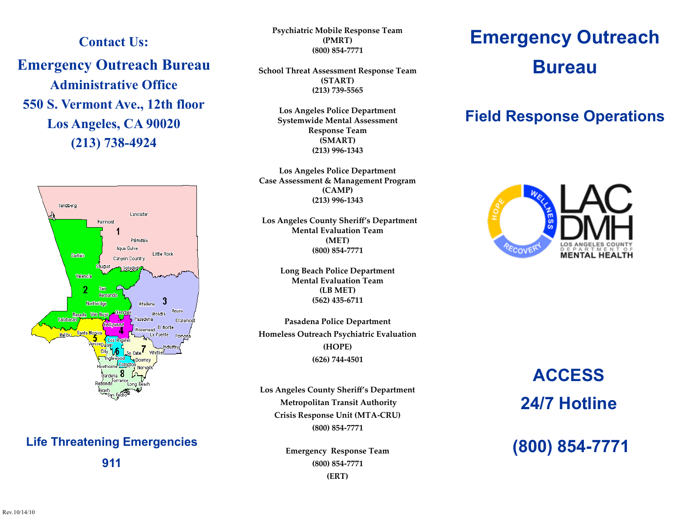**Contact Us:**

**Emergency Outreach Bureau Administrative Office 550 S. Vermont Ave., 12th floor Los Angeles, CA 90020 (213) 738-4924**



## **Life Threatening Emergencies 911**

**Psychiatric Mobile Response Team (PMRT) (800) 854-7771**

**School Threat Assessment Response Team (START) (213) 739-5565**

> **Los Angeles Police Department Systemwide Mental Assessment Response Team (SMART) (213) 996-1343**

**Los Angeles Police Department Case Assessment & Management Program (CAMP) (213) 996-1343**

**Los Angeles County Sheriff's Department Mental Evaluation Team (MET) (800) 854-7771**

> **Long Beach Police Department Mental Evaluation Team (LB MET) (562) 435-6711**

**Pasadena Police Department Homeless Outreach Psychiatric Evaluation (HOPE) (626) 744-4501**

**Los Angeles County Sheriff's Department Metropolitan Transit Authority Crisis Response Unit (MTA-CRU) (800) 854-7771**

> **Emergency Response Team (800) 854-7771 (ERT)**

## **Emergency Outreach Bureau**

## **Field Response Operations**



# **ACCESS 24/7 Hotline**

**(800) 854-7771**